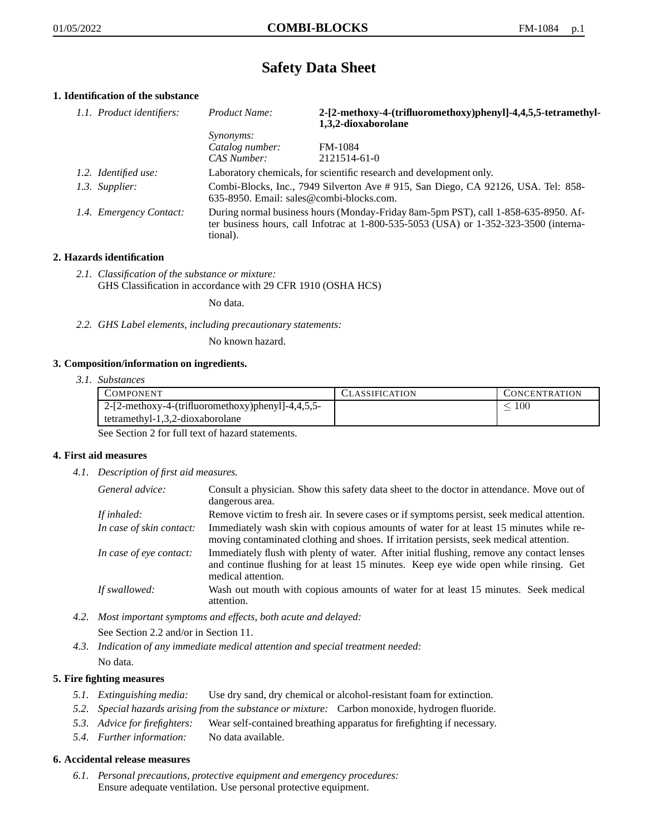# **Safety Data Sheet**

# **1. Identification of the substance**

| 1.1. Product identifiers: | Product Name:                                                                                                                                                                               | 2-[2-methoxy-4-(trifluoromethoxy)phenyl]-4,4,5,5-tetramethyl-<br>1,3,2-dioxaborolane |
|---------------------------|---------------------------------------------------------------------------------------------------------------------------------------------------------------------------------------------|--------------------------------------------------------------------------------------|
|                           | <i>Synonyms:</i>                                                                                                                                                                            |                                                                                      |
|                           | Catalog number:                                                                                                                                                                             | <b>FM-1084</b>                                                                       |
|                           | CAS Number:                                                                                                                                                                                 | 2121514-61-0                                                                         |
| 1.2. Identified use:      | Laboratory chemicals, for scientific research and development only.                                                                                                                         |                                                                                      |
| 1.3. Supplier:            | Combi-Blocks, Inc., 7949 Silverton Ave #915, San Diego, CA 92126, USA. Tel: 858-<br>$635-8950$ . Email: sales@combi-blocks.com.                                                             |                                                                                      |
| 1.4. Emergency Contact:   | During normal business hours (Monday-Friday 8am-5pm PST), call 1-858-635-8950. Af-<br>ter business hours, call Infotrac at $1-800-535-5053$ (USA) or $1-352-323-3500$ (interna-<br>tional). |                                                                                      |

# **2. Hazards identification**

*2.1. Classification of the substance or mixture:* GHS Classification in accordance with 29 CFR 1910 (OSHA HCS)

No data.

*2.2. GHS Label elements, including precautionary statements:*

No known hazard.

# **3. Composition/information on ingredients.**

*3.1. Substances*

| <b>COMPONENT</b>                                    | <b>CLASSIFICATION</b> | <b>CONCENTRATION</b> |
|-----------------------------------------------------|-----------------------|----------------------|
| $2-[2-methoxy-4-(trifluoromethoxy)phenyl]-4,4,5,5-$ |                       | 100                  |
| tetramethyl- $1,3,2$ -dioxaborolane                 |                       |                      |

See Section 2 for full text of hazard statements.

# **4. First aid measures**

*4.1. Description of first aid measures.*

| General advice:          | Consult a physician. Show this safety data sheet to the doctor in attendance. Move out of<br>dangerous area.                                                                                            |
|--------------------------|---------------------------------------------------------------------------------------------------------------------------------------------------------------------------------------------------------|
| If inhaled:              | Remove victim to fresh air. In severe cases or if symptoms persist, seek medical attention.                                                                                                             |
| In case of skin contact: | Immediately wash skin with copious amounts of water for at least 15 minutes while re-<br>moving contaminated clothing and shoes. If irritation persists, seek medical attention.                        |
| In case of eye contact:  | Immediately flush with plenty of water. After initial flushing, remove any contact lenses<br>and continue flushing for at least 15 minutes. Keep eye wide open while rinsing. Get<br>medical attention. |
| If swallowed:            | Wash out mouth with copious amounts of water for at least 15 minutes. Seek medical<br>attention.                                                                                                        |

- *4.2. Most important symptoms and effects, both acute and delayed:* See Section 2.2 and/or in Section 11.
- *4.3. Indication of any immediate medical attention and special treatment needed:* No data.

# **5. Fire fighting measures**

- *5.1. Extinguishing media:* Use dry sand, dry chemical or alcohol-resistant foam for extinction.
- *5.2. Special hazards arising from the substance or mixture:* Carbon monoxide, hydrogen fluoride.
- *5.3. Advice for firefighters:* Wear self-contained breathing apparatus for firefighting if necessary.
- *5.4. Further information:* No data available.

# **6. Accidental release measures**

*6.1. Personal precautions, protective equipment and emergency procedures:* Ensure adequate ventilation. Use personal protective equipment.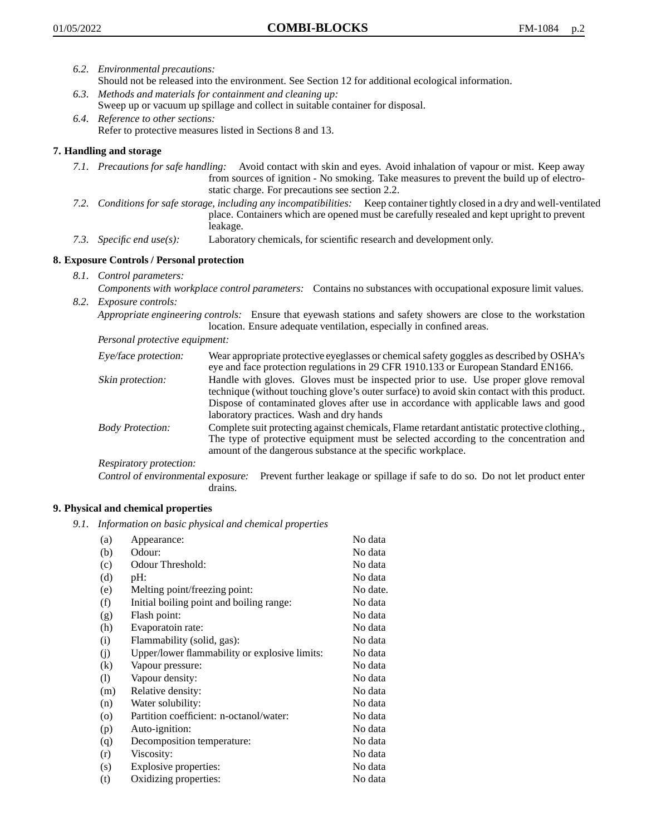- *6.2. Environmental precautions:* Should not be released into the environment. See Section 12 for additional ecological information.
- *6.3. Methods and materials for containment and cleaning up:* Sweep up or vacuum up spillage and collect in suitable container for disposal.
- *6.4. Reference to other sections:* Refer to protective measures listed in Sections 8 and 13.

# **7. Handling and storage**

- *7.1. Precautions for safe handling:* Avoid contact with skin and eyes. Avoid inhalation of vapour or mist. Keep away from sources of ignition - No smoking. Take measures to prevent the build up of electrostatic charge. For precautions see section 2.2.
- *7.2. Conditions for safe storage, including any incompatibilities:* Keep container tightly closed in a dry and well-ventilated place. Containers which are opened must be carefully resealed and kept upright to prevent leakage.
- *7.3. Specific end use(s):* Laboratory chemicals, for scientific research and development only.

# **8. Exposure Controls / Personal protection**

- *8.1. Control parameters:*
- *Components with workplace control parameters:* Contains no substances with occupational exposure limit values. *8.2. Exposure controls:*

*Appropriate engineering controls:* Ensure that eyewash stations and safety showers are close to the workstation location. Ensure adequate ventilation, especially in confined areas.

*Personal protective equipment:*

| Eye/face protection:    | Wear appropriate protective eyeglasses or chemical safety goggles as described by OSHA's<br>eye and face protection regulations in 29 CFR 1910.133 or European Standard EN166.                                                                                                                                         |
|-------------------------|------------------------------------------------------------------------------------------------------------------------------------------------------------------------------------------------------------------------------------------------------------------------------------------------------------------------|
| Skin protection:        | Handle with gloves. Gloves must be inspected prior to use. Use proper glove removal<br>technique (without touching glove's outer surface) to avoid skin contact with this product.<br>Dispose of contaminated gloves after use in accordance with applicable laws and good<br>laboratory practices. Wash and dry hands |
| <b>Body Protection:</b> | Complete suit protecting against chemicals, Flame retardant antistatic protective clothing.,<br>The type of protective equipment must be selected according to the concentration and<br>amount of the dangerous substance at the specific workplace.                                                                   |
| Respiratory protection: |                                                                                                                                                                                                                                                                                                                        |

Control of environmental exposure: Prevent further leakage or spillage if safe to do so. Do not let product enter drains.

# **9. Physical and chemical properties**

*9.1. Information on basic physical and chemical properties*

| (a)                        | Appearance:                                   | No data  |
|----------------------------|-----------------------------------------------|----------|
| (b)                        | Odour:                                        | No data  |
| (c)                        | Odour Threshold:                              | No data  |
| (d)                        | pH:                                           | No data  |
| (e)                        | Melting point/freezing point:                 | No date. |
| (f)                        | Initial boiling point and boiling range:      | No data  |
| (g)                        | Flash point:                                  | No data  |
| (h)                        | Evaporatoin rate:                             | No data  |
| (i)                        | Flammability (solid, gas):                    | No data  |
| (j)                        | Upper/lower flammability or explosive limits: | No data  |
| (k)                        | Vapour pressure:                              | No data  |
| $\left( \mathrm{l}\right)$ | Vapour density:                               | No data  |
| (m)                        | Relative density:                             | No data  |
| (n)                        | Water solubility:                             | No data  |
| $\circ$                    | Partition coefficient: n-octanol/water:       | No data  |
| (p)                        | Auto-ignition:                                | No data  |
| (q)                        | Decomposition temperature:                    | No data  |
| (r)                        | Viscosity:                                    | No data  |
| (s)                        | Explosive properties:                         | No data  |
| (t)                        | Oxidizing properties:                         | No data  |